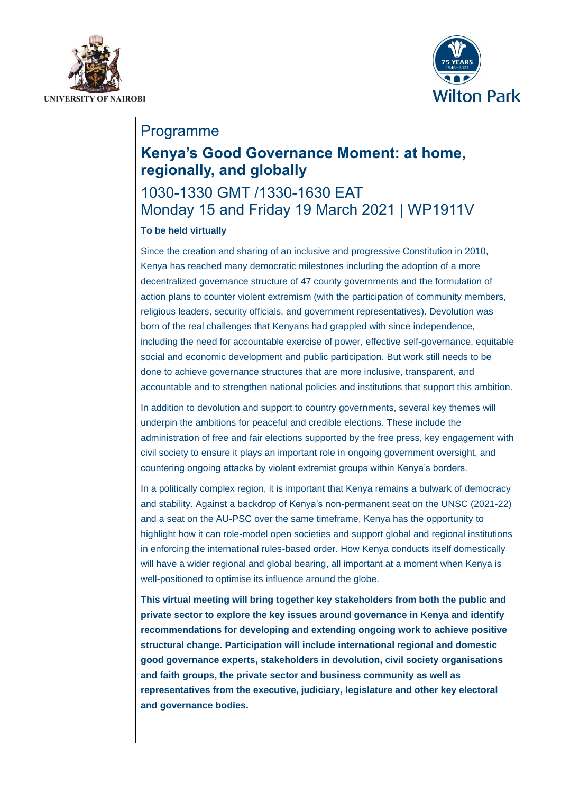



## Programme

## **Kenya's Good Governance Moment: at home, regionally, and globally**

# 1030-1330 GMT /1330-1630 EAT Monday 15 and Friday 19 March 2021 | WP1911V

## **To be held virtually**

Since the creation and sharing of an inclusive and progressive Constitution in 2010, Kenya has reached many democratic milestones including the adoption of a more decentralized governance structure of 47 county governments and the formulation of action plans to counter violent extremism (with the participation of community members, religious leaders, security officials, and government representatives). Devolution was born of the real challenges that Kenyans had grappled with since independence, including the need for accountable exercise of power, effective self-governance, equitable social and economic development and public participation. But work still needs to be done to achieve governance structures that are more inclusive, transparent, and accountable and to strengthen national policies and institutions that support this ambition.

In addition to devolution and support to country governments, several key themes will underpin the ambitions for peaceful and credible elections. These include the administration of free and fair elections supported by the free press, key engagement with civil society to ensure it plays an important role in ongoing government oversight, and countering ongoing attacks by violent extremist groups within Kenya's borders.

In a politically complex region, it is important that Kenya remains a bulwark of democracy and stability. Against a backdrop of Kenya's non-permanent seat on the UNSC (2021-22) and a seat on the AU-PSC over the same timeframe, Kenya has the opportunity to highlight how it can role-model open societies and support global and regional institutions in enforcing the international rules-based order. How Kenya conducts itself domestically will have a wider regional and global bearing, all important at a moment when Kenya is well-positioned to optimise its influence around the globe.

**This virtual meeting will bring together key stakeholders from both the public and private sector to explore the key issues around governance in Kenya and identify recommendations for developing and extending ongoing work to achieve positive structural change. Participation will include international regional and domestic good governance experts, stakeholders in devolution, civil society organisations and faith groups, the private sector and business community as well as representatives from the executive, judiciary, legislature and other key electoral and governance bodies.**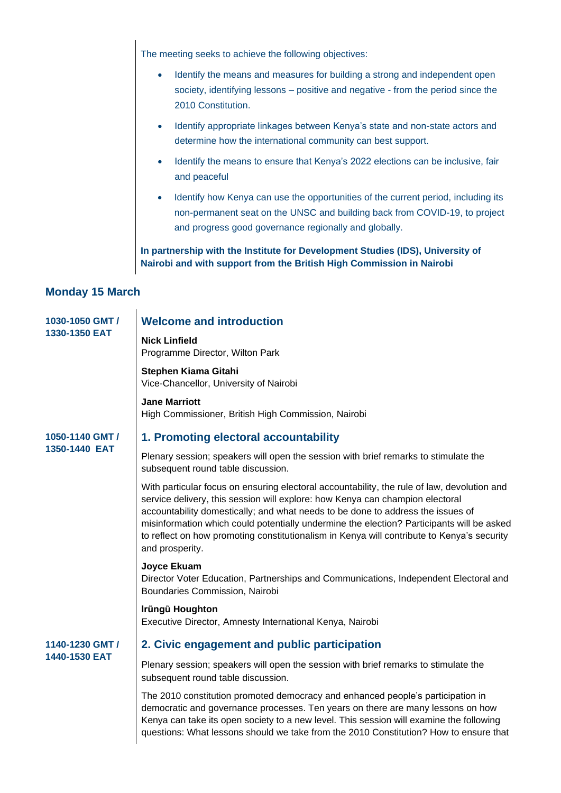The meeting seeks to achieve the following objectives:

- Identify the means and measures for building a strong and independent open society, identifying lessons – positive and negative - from the period since the 2010 Constitution.
- Identify appropriate linkages between Kenya's state and non-state actors and determine how the international community can best support.
- Identify the means to ensure that Kenya's 2022 elections can be inclusive, fair and peaceful
- Identify how Kenya can use the opportunities of the current period, including its non-permanent seat on the UNSC and building back from COVID-19, to project and progress good governance regionally and globally.

**In partnership with the Institute for Development Studies (IDS), University of Nairobi and with support from the British High Commission in Nairobi**

## **Monday 15 March**

| 1030-1050 GMT /<br>1330-1350 EAT | <b>Welcome and introduction</b>                                                                                                                                                                                                                                                                                                                                                                                                                                               |
|----------------------------------|-------------------------------------------------------------------------------------------------------------------------------------------------------------------------------------------------------------------------------------------------------------------------------------------------------------------------------------------------------------------------------------------------------------------------------------------------------------------------------|
|                                  | <b>Nick Linfield</b><br>Programme Director, Wilton Park                                                                                                                                                                                                                                                                                                                                                                                                                       |
|                                  | Stephen Kiama Gitahi<br>Vice-Chancellor, University of Nairobi                                                                                                                                                                                                                                                                                                                                                                                                                |
|                                  | <b>Jane Marriott</b><br>High Commissioner, British High Commission, Nairobi                                                                                                                                                                                                                                                                                                                                                                                                   |
| 1050-1140 GMT /<br>1350-1440 EAT | 1. Promoting electoral accountability                                                                                                                                                                                                                                                                                                                                                                                                                                         |
|                                  | Plenary session; speakers will open the session with brief remarks to stimulate the<br>subsequent round table discussion.                                                                                                                                                                                                                                                                                                                                                     |
|                                  | With particular focus on ensuring electoral accountability, the rule of law, devolution and<br>service delivery, this session will explore: how Kenya can champion electoral<br>accountability domestically; and what needs to be done to address the issues of<br>misinformation which could potentially undermine the election? Participants will be asked<br>to reflect on how promoting constitutionalism in Kenya will contribute to Kenya's security<br>and prosperity. |
|                                  | Joyce Ekuam<br>Director Voter Education, Partnerships and Communications, Independent Electoral and<br>Boundaries Commission, Nairobi                                                                                                                                                                                                                                                                                                                                         |
|                                  | Irüngü Houghton<br>Executive Director, Amnesty International Kenya, Nairobi                                                                                                                                                                                                                                                                                                                                                                                                   |
| 1140-1230 GMT /<br>1440-1530 EAT | 2. Civic engagement and public participation                                                                                                                                                                                                                                                                                                                                                                                                                                  |
|                                  | Plenary session; speakers will open the session with brief remarks to stimulate the<br>subsequent round table discussion.                                                                                                                                                                                                                                                                                                                                                     |
|                                  | The 2010 constitution promoted democracy and enhanced people's participation in<br>democratic and governance processes. Ten years on there are many lessons on how<br>Kenya can take its open society to a new level. This session will examine the following<br>questions: What lessons should we take from the 2010 Constitution? How to ensure that                                                                                                                        |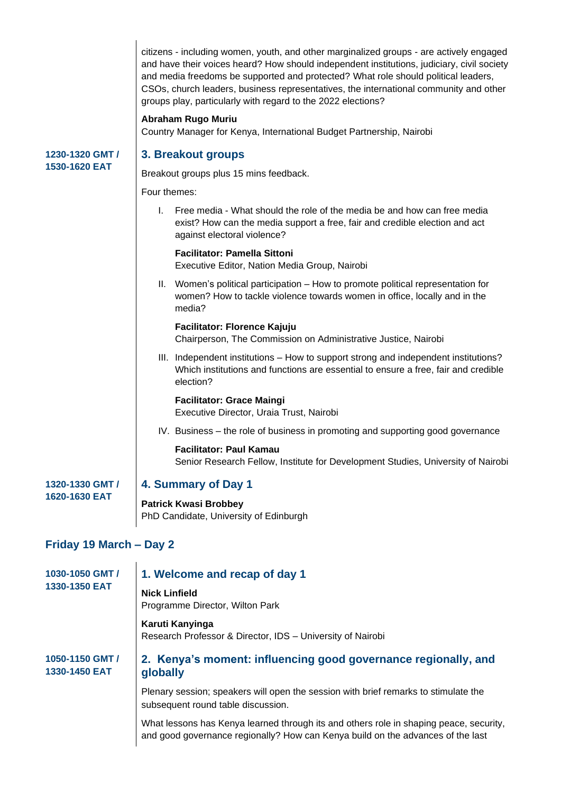citizens - including women, youth, and other marginalized groups - are actively engaged and have their voices heard? How should independent institutions, judiciary, civil society and media freedoms be supported and protected? What role should political leaders, CSOs, church leaders, business representatives, the international community and other groups play, particularly with regard to the 2022 elections?

#### **Abraham Rugo Muriu**

Country Manager for Kenya, International Budget Partnership, Nairobi

#### **1230-1320 GMT / 1530-1620 EAT**

## **3. Breakout groups**

Breakout groups plus 15 mins feedback.

Four themes:

I. Free media - What should the role of the media be and how can free media exist? How can the media support a free, fair and credible election and act against electoral violence?

#### **Facilitator: Pamella Sittoni**

Executive Editor, Nation Media Group, Nairobi

II. Women's political participation – How to promote political representation for women? How to tackle violence towards women in office, locally and in the media?

#### **Facilitator: Florence Kajuju**

Chairperson, The Commission on Administrative Justice, Nairobi

III. Independent institutions – How to support strong and independent institutions? Which institutions and functions are essential to ensure a free, fair and credible election?

### **Facilitator: Grace Maingi**

Executive Director, Uraia Trust, Nairobi

IV. Business – the role of business in promoting and supporting good governance

**Facilitator: Paul Kamau** Senior Research Fellow, Institute for Development Studies, University of Nairobi

#### **1320-1330 GMT / 1620-1630 EAT**

## **4. Summary of Day 1**

**Patrick Kwasi Brobbey** PhD Candidate, University of Edinburgh

## **Friday 19 March – Day 2**

 $\overline{1}$ 

| 1030-1050 GMT /<br>1330-1350 EAT<br>1050-1150 GMT /<br>1330-1450 EAT | 1. Welcome and recap of day 1                                                                                                                                             |
|----------------------------------------------------------------------|---------------------------------------------------------------------------------------------------------------------------------------------------------------------------|
|                                                                      | <b>Nick Linfield</b><br>Programme Director, Wilton Park                                                                                                                   |
|                                                                      | Karuti Kanyinga<br>Research Professor & Director, IDS - University of Nairobi<br>2. Kenya's moment: influencing good governance regionally, and<br>globally               |
|                                                                      | Plenary session; speakers will open the session with brief remarks to stimulate the<br>subsequent round table discussion.                                                 |
|                                                                      | What lessons has Kenya learned through its and others role in shaping peace, security,<br>and good governance regionally? How can Kenya build on the advances of the last |